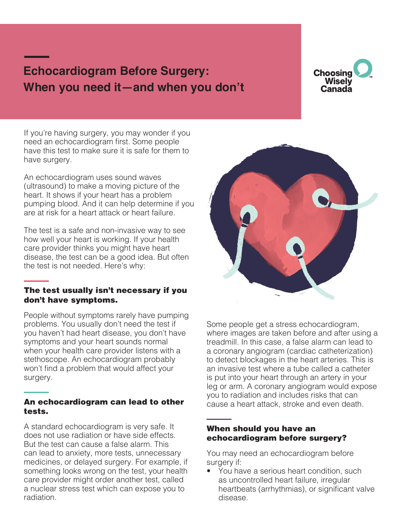# **Echocardiogram Before Surgery: When you need it—and when you don't**



If you're having surgery, you may wonder if you need an echocardiogram first. Some people have this test to make sure it is safe for them to have surgery.

An echocardiogram uses sound waves (ultrasound) to make a moving picture of the heart. It shows if your heart has a problem pumping blood. And it can help determine if you are at risk for a heart attack or heart failure.

The test is a safe and non-invasive way to see how well your heart is working. If your health care provider thinks you might have heart disease, the test can be a good idea. But often the test is not needed. Here's why:

#### The test usually isn't necessary if you don't have symptoms.

People without symptoms rarely have pumping problems. You usually don't need the test if you haven't had heart disease, you don't have symptoms and your heart sounds normal when your health care provider listens with a stethoscope. An echocardiogram probably won't find a problem that would affect your surgery.

#### An echocardiogram can lead to other tests.

A standard echocardiogram is very safe. It does not use radiation or have side effects. But the test can cause a false alarm. This can lead to anxiety, more tests, unnecessary medicines, or delayed surgery. For example, if something looks wrong on the test, your health care provider might order another test, called a nuclear stress test which can expose you to radiation.



Some people get a stress echocardiogram, where images are taken before and after using a treadmill. In this case, a false alarm can lead to a coronary angiogram (cardiac catheterization) to detect blockages in the heart arteries. This is an invasive test where a tube called a catheter is put into your heart through an artery in your leg or arm. A coronary angiogram would expose you to radiation and includes risks that can cause a heart attack, stroke and even death.

#### When should you have an echocardiogram before surgery?

You may need an echocardiogram before surgery if:

• You have a serious heart condition, such as uncontrolled heart failure, irregular heartbeats (arrhythmias), or significant valve disease.